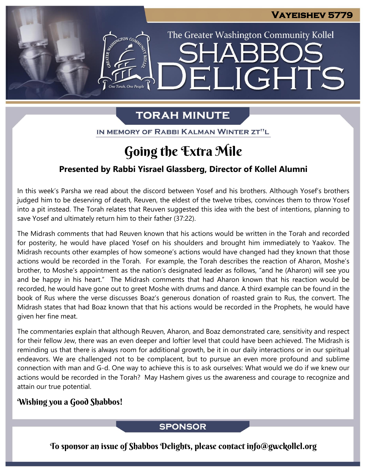The Greater Washington Community Kollel

ELIGHTS

# **TORAH MINUTE**

IN MEMORY OF RABBI KALMAN WINTER ZT"L

# Going the Extra Mile

### **Presented by Rabbi Yisrael Glassberg, Director of Kollel Alumni**

In this week's Parsha we read about the discord between Yosef and his brothers. Although Yosef's brothers judged him to be deserving of death, Reuven, the eldest of the twelve tribes, convinces them to throw Yosef into a pit instead. The Torah relates that Reuven suggested this idea with the best of intentions, planning to save Yosef and ultimately return him to their father (37:22).

The Midrash comments that had Reuven known that his actions would be written in the Torah and recorded for posterity, he would have placed Yosef on his shoulders and brought him immediately to Yaakov. The Midrash recounts other examples of how someone's actions would have changed had they known that those actions would be recorded in the Torah. For example, the Torah describes the reaction of Aharon, Moshe's brother, to Moshe's appointment as the nation's designated leader as follows, "and he (Aharon) will see you and be happy in his heart." The Midrash comments that had Aharon known that his reaction would be recorded, he would have gone out to greet Moshe with drums and dance. A third example can be found in the book of Rus where the verse discusses Boaz's generous donation of roasted grain to Rus, the convert. The Midrash states that had Boaz known that that his actions would be recorded in the Prophets, he would have given her fine meat.

The commentaries explain that although Reuven, Aharon, and Boaz demonstrated care, sensitivity and respect for their fellow Jew, there was an even deeper and loftier level that could have been achieved. The Midrash is reminding us that there is always room for additional growth, be it in our daily interactions or in our spiritual endeavors. We are challenged not to be complacent, but to pursue an even more profound and sublime connection with man and G-d. One way to achieve this is to ask ourselves: What would we do if we knew our actions would be recorded in the Torah? May Hashem gives us the awareness and courage to recognize and attain our true potential.

### Wishing you a Good Shabbos!

#### **SPONSOR**

To sponsor an issue of Shabbos Delights, please contact info@gwckollel.org